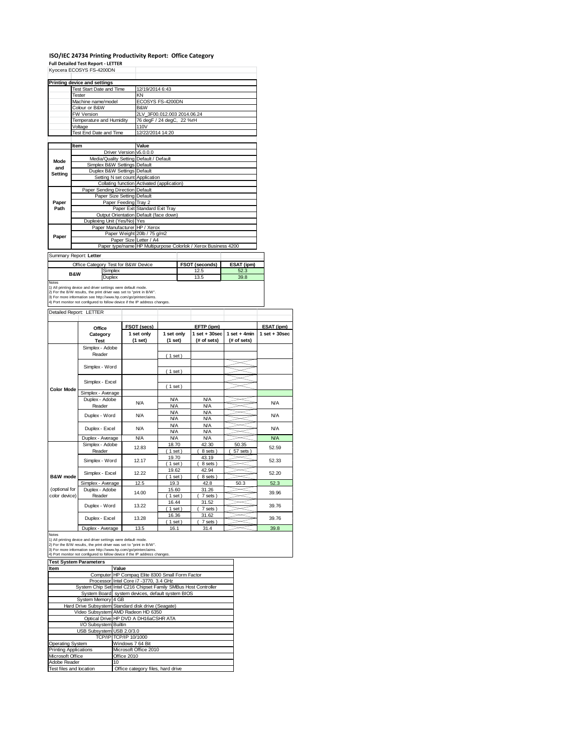# **ISO/IEC 24734 Printing Productivity Report: Office Category Full Detailed Test Report ‐ LETTER** Kyocera ECOSYS FS-4200DN

|                          | Kyocera ECOSYS FS-4200DN                                                                                                                                                                                |                         |                  |                                                                            |                        |                |            |  |  |
|--------------------------|---------------------------------------------------------------------------------------------------------------------------------------------------------------------------------------------------------|-------------------------|------------------|----------------------------------------------------------------------------|------------------------|----------------|------------|--|--|
|                          | <b>Printing device and settings</b>                                                                                                                                                                     |                         |                  |                                                                            |                        |                |            |  |  |
|                          | <b>Test Start Date and Time</b>                                                                                                                                                                         |                         |                  | 12/19/2014 6:43                                                            |                        |                |            |  |  |
|                          | Tester                                                                                                                                                                                                  |                         |                  | KN                                                                         |                        |                |            |  |  |
|                          | Machine name/model                                                                                                                                                                                      |                         |                  | ECOSYS FS-4200DN                                                           |                        |                |            |  |  |
|                          | Colour or B&W                                                                                                                                                                                           |                         |                  | B&W                                                                        |                        |                |            |  |  |
|                          | <b>FW Version</b>                                                                                                                                                                                       |                         |                  | 2LV_3F00.012.003 2014.06.24                                                |                        |                |            |  |  |
|                          | Temperature and Humidity                                                                                                                                                                                |                         |                  | 76 degF / 24 degC, 22 %rH                                                  |                        |                |            |  |  |
|                          | Voltage                                                                                                                                                                                                 |                         | 110V             |                                                                            |                        |                |            |  |  |
|                          | Test End Date and Time                                                                                                                                                                                  |                         | 12/22/2014 14:20 |                                                                            |                        |                |            |  |  |
|                          |                                                                                                                                                                                                         |                         |                  |                                                                            |                        |                |            |  |  |
|                          | Item                                                                                                                                                                                                    |                         |                  | Value                                                                      |                        |                |            |  |  |
|                          |                                                                                                                                                                                                         | Driver Version v5.0.0.0 |                  |                                                                            |                        |                |            |  |  |
| Mode                     | Media/Quality Setting Default / Default                                                                                                                                                                 |                         |                  |                                                                            |                        |                |            |  |  |
| and                      | Simplex B&W Settings Default                                                                                                                                                                            |                         |                  |                                                                            |                        |                |            |  |  |
| Setting                  | Duplex B&W Settings Default                                                                                                                                                                             |                         |                  |                                                                            |                        |                |            |  |  |
|                          | Setting N set count Application                                                                                                                                                                         |                         |                  |                                                                            |                        |                |            |  |  |
|                          |                                                                                                                                                                                                         |                         |                  | Collating function Activated (application)                                 |                        |                |            |  |  |
|                          | Paper Sending Direction Default                                                                                                                                                                         |                         |                  |                                                                            |                        |                |            |  |  |
|                          | Paper Size Setting Default                                                                                                                                                                              |                         |                  |                                                                            |                        |                |            |  |  |
| Paper                    | Paper Feeding Tray 2                                                                                                                                                                                    |                         |                  |                                                                            |                        |                |            |  |  |
| Path                     |                                                                                                                                                                                                         |                         |                  | Paper Exit Standard Exit Tray                                              |                        |                |            |  |  |
|                          |                                                                                                                                                                                                         |                         |                  | Output Orientation Default (face down)                                     |                        |                |            |  |  |
|                          | Duplexing Unit (Yes/No) Yes                                                                                                                                                                             |                         |                  |                                                                            |                        |                |            |  |  |
|                          | Paper Manufacturer HP / Xerox                                                                                                                                                                           |                         |                  |                                                                            |                        |                |            |  |  |
|                          |                                                                                                                                                                                                         |                         |                  | Paper Weight 20lb / 75 g/m2                                                |                        |                |            |  |  |
| Paper                    |                                                                                                                                                                                                         |                         |                  |                                                                            | Paper Size Letter / A4 |                |            |  |  |
|                          |                                                                                                                                                                                                         |                         |                  | Paper type/name HP Multipurpose Colorlok / Xerox Business 4200             |                        |                |            |  |  |
|                          | Summary Report: Letter                                                                                                                                                                                  |                         |                  |                                                                            |                        |                |            |  |  |
|                          | Office Category Test for B&W Device                                                                                                                                                                     |                         |                  |                                                                            |                        | FSOT (seconds) | ESAT (ipm) |  |  |
|                          |                                                                                                                                                                                                         | Simplex                 |                  |                                                                            |                        | 12.5           | 52.3       |  |  |
| <b>B&amp;W</b><br>Duplex |                                                                                                                                                                                                         |                         |                  |                                                                            | 13.5                   | 39.8           |            |  |  |
| <b>Notes</b>             | 1) All printing device and driver settings were default mode.<br>2) For the B/W results, the print driver was set to "print in B/W".<br>3) For more information see http://www.hp.com/go/printerclaims. |                         |                  | 4) Port monitor not configured to follow device if the IP address changes. |                        |                |            |  |  |
|                          | Detailed Report: LETTER                                                                                                                                                                                 |                         |                  |                                                                            |                        |                |            |  |  |
|                          |                                                                                                                                                                                                         |                         |                  |                                                                            |                        |                |            |  |  |
|                          |                                                                                                                                                                                                         |                         |                  |                                                                            |                        |                |            |  |  |

|                   | Office                  | FSOT (secs)           |                       | ESAT (ipm)                       |                               |                 |  |
|-------------------|-------------------------|-----------------------|-----------------------|----------------------------------|-------------------------------|-----------------|--|
|                   | Category<br><b>Test</b> | 1 set only<br>(1 set) | 1 set only<br>(1 set) | $1$ set $+30$ sec<br>(# of sets) | $1$ set + 4min<br>(# of sets) | $1$ set + 30sec |  |
|                   | Simplex - Adobe         |                       |                       |                                  |                               |                 |  |
|                   | Reader                  |                       | (1 set)               |                                  |                               |                 |  |
|                   |                         |                       |                       |                                  |                               |                 |  |
|                   | Simplex - Word          |                       | (1 set)               |                                  |                               |                 |  |
|                   |                         |                       |                       |                                  |                               |                 |  |
|                   | Simplex - Excel         |                       | (1 set)               |                                  |                               |                 |  |
| <b>Color Mode</b> | Simplex - Average       |                       |                       |                                  |                               |                 |  |
|                   | Duplex - Adobe          | N/A                   | <b>N/A</b>            | <b>N/A</b>                       |                               | <b>N/A</b>      |  |
|                   | Reader                  |                       | <b>N/A</b>            | <b>N/A</b>                       |                               |                 |  |
|                   | Duplex - Word           | N/A                   | <b>N/A</b>            | <b>N/A</b>                       |                               | <b>N/A</b>      |  |
|                   |                         |                       | <b>N/A</b>            | <b>N/A</b>                       |                               |                 |  |
|                   | Duplex - Excel          | N/A                   | <b>N/A</b>            | <b>N/A</b>                       |                               | <b>N/A</b>      |  |
|                   |                         |                       | <b>N/A</b>            | <b>N/A</b>                       |                               |                 |  |
|                   | Duplex - Average        | <b>N/A</b>            | <b>N/A</b>            | <b>N/A</b>                       |                               | N/A             |  |
|                   | Simplex - Adobe         | 12.83                 | 18.70                 | 42.30                            | 50.35                         | 52.59           |  |
|                   | Reader                  |                       | (1 set)               | 8 sets                           | 57 sets                       |                 |  |
|                   | Simplex - Word          | 12.17                 | 19.70                 | 43.19                            |                               | 52.33           |  |
|                   |                         |                       | $1$ set)              | 8 sets )                         |                               |                 |  |
|                   | Simplex - Excel         | 12.22                 | 19.62                 | 42.94                            |                               | 52.20           |  |
| B&W mode          |                         |                       | $1$ set)              | 8 sets)                          |                               |                 |  |
|                   | Simplex - Average       | 12.5                  | 19.3                  | 42.8                             | 50.3                          | 52.3            |  |
| (optional for     | Duplex - Adobe          | 14.00                 | 15.60                 | 31.26                            |                               | 39.96           |  |
| color device)     | Reader                  |                       | $1$ set)              | 7 sets)                          |                               |                 |  |
|                   | Duplex - Word           | 13.22                 | 16.44                 | 31.52                            |                               | 39.76           |  |
|                   |                         |                       | $1$ set)              | 7 sets                           |                               |                 |  |
|                   | Duplex - Excel          | 13.28                 | 16.36                 | 31.62                            |                               | 39.76           |  |
|                   |                         |                       | 1 set                 | 7 sets                           |                               |                 |  |
|                   | Duplex - Average        | 13.5                  | 16.1                  | 31.4                             |                               | 39.8            |  |

| <b>Test System Parameters</b> |                                                                 |  |  |  |  |
|-------------------------------|-----------------------------------------------------------------|--|--|--|--|
| Item                          | Value                                                           |  |  |  |  |
|                               | Computer HP Compaq Elite 8300 Small Form Factor                 |  |  |  |  |
|                               | Processor Intel Core i7 -3770, 3.4 GHz                          |  |  |  |  |
|                               | System Chip Set Intel C216 Chipset Family SMBus Host Controller |  |  |  |  |
|                               | System Board system devices, default system BIOS                |  |  |  |  |
| System Memory 4 GB            |                                                                 |  |  |  |  |
|                               | Hard Drive Subsystem Standard disk drive (Seagate)              |  |  |  |  |
|                               | Video Subsystem AMD Radeon HD 6350                              |  |  |  |  |
|                               | Optical Drive HP DVD A DH16aCSHR ATA                            |  |  |  |  |
| I/O Subsystem Builtin         |                                                                 |  |  |  |  |
| USB Subsystem USB 2.0/3.0     |                                                                 |  |  |  |  |
|                               | TCP/IP TCP/IP 10/1000                                           |  |  |  |  |
| <b>Operating System</b>       | Windows 7 64 Bit                                                |  |  |  |  |
| <b>Printing Applications</b>  | Microsoft Office 2010                                           |  |  |  |  |
| Microsoft Office              | Office 2010                                                     |  |  |  |  |
| Adobe Reader                  | 10                                                              |  |  |  |  |
| Test files and location       | Office category files, hard drive                               |  |  |  |  |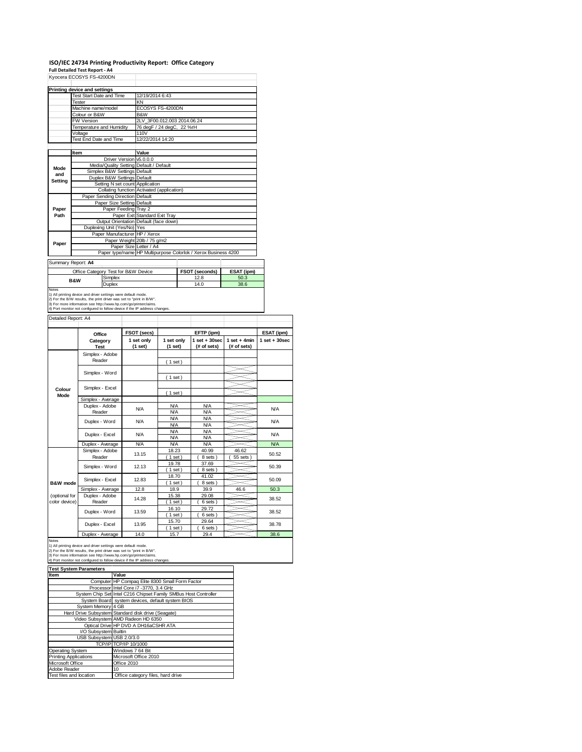## **ISO/IEC 24734 Printing Productivity Report: Office Category**

| <b>Full Detailed Test Report - A4</b> | Kyocera ECOSYS FS-4200DN                                                                                                                      |                                 |  |                                                                               |                          |                                                                |                |                   |
|---------------------------------------|-----------------------------------------------------------------------------------------------------------------------------------------------|---------------------------------|--|-------------------------------------------------------------------------------|--------------------------|----------------------------------------------------------------|----------------|-------------------|
|                                       | <b>Printing device and settings</b>                                                                                                           |                                 |  |                                                                               |                          |                                                                |                |                   |
|                                       | <b>Test Start Date and Time</b>                                                                                                               |                                 |  | 12/19/2014 6:43                                                               |                          |                                                                |                |                   |
|                                       | Tester                                                                                                                                        |                                 |  | KN                                                                            |                          |                                                                |                |                   |
|                                       | Machine name/model                                                                                                                            |                                 |  | ECOSYS FS-4200DN                                                              |                          |                                                                |                |                   |
|                                       | Colour or B&W                                                                                                                                 |                                 |  | B&W                                                                           |                          |                                                                |                |                   |
|                                       | FW Version                                                                                                                                    |                                 |  | 2LV_3F00.012.003 2014.06.24                                                   |                          |                                                                |                |                   |
|                                       | Temperature and Humidity                                                                                                                      |                                 |  | 76 degF / 24 degC, 22 %rH                                                     |                          |                                                                |                |                   |
|                                       | Voltage                                                                                                                                       |                                 |  | 110V                                                                          |                          |                                                                |                |                   |
|                                       | Test End Date and Time                                                                                                                        |                                 |  | 12/22/2014 14:20                                                              |                          |                                                                |                |                   |
|                                       | Item                                                                                                                                          |                                 |  | Value                                                                         |                          |                                                                |                |                   |
|                                       |                                                                                                                                               | Driver Version v5.0.0.0         |  |                                                                               |                          |                                                                |                |                   |
| Mode                                  |                                                                                                                                               |                                 |  | Media/Quality Setting Default / Default                                       |                          |                                                                |                |                   |
| and                                   |                                                                                                                                               | Simplex B&W Settings Default    |  |                                                                               |                          |                                                                |                |                   |
| Setting                               |                                                                                                                                               | Duplex B&W Settings Default     |  |                                                                               |                          |                                                                |                |                   |
|                                       |                                                                                                                                               |                                 |  | Setting N set count Application<br>Collating function Activated (application) |                          |                                                                |                |                   |
|                                       |                                                                                                                                               | Paper Sending Direction Default |  |                                                                               |                          |                                                                |                |                   |
|                                       |                                                                                                                                               | Paper Size Setting Default      |  |                                                                               |                          |                                                                |                |                   |
| Paper                                 |                                                                                                                                               | Paper Feeding Tray 2            |  |                                                                               |                          |                                                                |                |                   |
| Path                                  |                                                                                                                                               |                                 |  | Paper Exit Standard Exit Tray                                                 |                          |                                                                |                |                   |
|                                       |                                                                                                                                               |                                 |  | Output Orientation Default (face down)                                        |                          |                                                                |                |                   |
|                                       |                                                                                                                                               | Duplexing Unit (Yes/No) Yes     |  |                                                                               |                          |                                                                |                |                   |
|                                       |                                                                                                                                               |                                 |  | Paper Manufacturer HP / Xerox                                                 |                          |                                                                |                |                   |
| Paper                                 |                                                                                                                                               |                                 |  | Paper Weight 20lb / 75 g/m2                                                   |                          |                                                                |                |                   |
|                                       |                                                                                                                                               |                                 |  | Paper Size Letter / A4                                                        |                          | Paper type/name HP Multipurpose Colorlok / Xerox Business 4200 |                |                   |
| Summary Report: A4                    |                                                                                                                                               |                                 |  |                                                                               |                          |                                                                |                |                   |
|                                       | Office Category Test for B&W Device                                                                                                           |                                 |  |                                                                               |                          | FSOT (seconds)                                                 | ESAT (ipm)     |                   |
|                                       |                                                                                                                                               | Simplex                         |  |                                                                               |                          | 12.8                                                           | 50.3           |                   |
|                                       | <b>B&amp;W</b>                                                                                                                                | Duplex                          |  |                                                                               |                          | 14.0                                                           | 38.6           |                   |
| Detailed Report: A4                   | 3) For more information see http://www.hp.com/go/printerclaims.<br>4) Port monitor not configured to follow device if the IP address changes. |                                 |  |                                                                               |                          |                                                                |                |                   |
|                                       |                                                                                                                                               |                                 |  |                                                                               |                          |                                                                |                |                   |
|                                       |                                                                                                                                               | Office                          |  | FSOT (secs)                                                                   |                          |                                                                |                |                   |
|                                       | Category                                                                                                                                      |                                 |  |                                                                               |                          | EFTP (ipm)                                                     |                | ESAT (ipm)        |
|                                       | <b>Test</b>                                                                                                                                   |                                 |  | 1 set only                                                                    | 1 set only               | $1$ set $+30$ sec                                              | $1$ set + 4min | $1$ set $+30$ sec |
|                                       | Reader                                                                                                                                        |                                 |  | (1 set)                                                                       | (1 set)                  | (# of sets)                                                    | (# of sets)    |                   |
|                                       |                                                                                                                                               | Simplex - Adobe                 |  |                                                                               |                          |                                                                |                |                   |
|                                       |                                                                                                                                               |                                 |  |                                                                               | (1 set)                  |                                                                |                |                   |
|                                       | Simplex - Word                                                                                                                                |                                 |  |                                                                               |                          |                                                                |                |                   |
|                                       |                                                                                                                                               |                                 |  |                                                                               | (1 set)                  |                                                                |                |                   |
| Colour                                | Simplex - Excel                                                                                                                               |                                 |  |                                                                               |                          |                                                                |                |                   |
| Mode                                  |                                                                                                                                               |                                 |  |                                                                               | (1 set)                  |                                                                |                |                   |
|                                       | Simplex - Average                                                                                                                             |                                 |  |                                                                               |                          |                                                                |                |                   |
|                                       | Duplex - Adobe                                                                                                                                |                                 |  | N/A                                                                           | <b>N/A</b>               | <b>N/A</b>                                                     |                | <b>N/A</b>        |
|                                       | Reader                                                                                                                                        |                                 |  |                                                                               | <b>N/A</b><br><b>N/A</b> | <b>N/A</b><br><b>N/A</b>                                       |                |                   |
|                                       | Duplex - Word                                                                                                                                 |                                 |  | N/A                                                                           | <b>N/A</b>               | <b>N/A</b>                                                     |                | <b>N/A</b>        |
|                                       |                                                                                                                                               |                                 |  |                                                                               | <b>N/A</b>               | <b>N/A</b>                                                     |                |                   |
|                                       | Duplex - Excel                                                                                                                                |                                 |  | N/A                                                                           | <b>N/A</b>               | <b>N/A</b>                                                     |                | <b>N/A</b>        |
|                                       | Duplex - Average                                                                                                                              |                                 |  | <b>N/A</b>                                                                    | <b>N/A</b>               | <b>N/A</b>                                                     |                | <b>N/A</b>        |
|                                       | Simplex - Adobe                                                                                                                               |                                 |  | 13.15                                                                         | 18.23                    | 40.99                                                          | 46.62          | 50.52             |
|                                       | Reader                                                                                                                                        |                                 |  |                                                                               | $1$ set)                 | 8 sets                                                         | $55$ sets $)$  |                   |
|                                       | Simplex - Word                                                                                                                                |                                 |  | 12.13                                                                         | 19.78<br>$1$ set)        | 37.69<br>8 sets                                                |                | 50.39             |
|                                       |                                                                                                                                               |                                 |  |                                                                               | 18.70                    | 41.02                                                          |                |                   |
| <b>B&amp;W</b> mode                   | Simplex - Excel                                                                                                                               |                                 |  | 12.83                                                                         | $1$ set)                 | 8 sets                                                         |                | 50.09             |
|                                       | Simplex - Average                                                                                                                             |                                 |  | 12.8                                                                          | 18.9                     | 39.9                                                           | 46.6           | 50.3              |
| (optional for                         | Duplex - Adobe                                                                                                                                |                                 |  | 14.28                                                                         | 15.38                    | 29.08                                                          |                | 38.52             |
| color device)                         | Reader                                                                                                                                        |                                 |  |                                                                               | ( 1 set )                | 6 sets)                                                        |                |                   |
|                                       | Duplex - Word                                                                                                                                 |                                 |  | 13.59                                                                         | 16.10                    | 29.72                                                          |                | 38.52             |
|                                       |                                                                                                                                               |                                 |  |                                                                               | $1$ set)<br>15.70        | 6 sets)<br>29.64                                               |                |                   |
|                                       | Duplex - Excel<br>Duplex - Average                                                                                                            |                                 |  | 13.95<br>14.0                                                                 | $1$ set)<br>1<br>15.7    | 6 sets)                                                        |                | 38.78<br>38.6     |

Notes<br>1) All printing device and driver settings were default mode.<br>2) For the B/W results, the print driver was set to "print in B/W".<br>3) For more information see http://www.hp.com/go/printerclaims.

|                               | 4) Port monitor not configured to follow device if the IP address changes. |  |  |
|-------------------------------|----------------------------------------------------------------------------|--|--|
| <b>Test System Parameters</b> |                                                                            |  |  |
| Item                          | Value                                                                      |  |  |
|                               | Computer HP Compaq Elite 8300 Small Form Factor                            |  |  |
|                               | Processor Intel Core i7 -3770, 3.4 GHz                                     |  |  |
|                               | System Chip Set Intel C216 Chipset Family SMBus Host Controller            |  |  |
|                               | System Board system devices, default system BIOS                           |  |  |
| System Memory 4 GB            |                                                                            |  |  |
|                               | Hard Drive Subsystem Standard disk drive (Seagate)                         |  |  |
|                               | Video Subsystem AMD Radeon HD 6350                                         |  |  |
|                               | Optical Drive HP DVD A DH16aCSHR ATA                                       |  |  |
| I/O Subsystem Builtin         |                                                                            |  |  |
| USB Subsystem USB 2.0/3.0     |                                                                            |  |  |
|                               | TCP/IP TCP/IP 10/1000                                                      |  |  |
| <b>Operating System</b>       | Windows 7 64 Bit                                                           |  |  |
| <b>Printing Applications</b>  | Microsoft Office 2010                                                      |  |  |
| Microsoft Office              | Office 2010                                                                |  |  |
| Adobe Reader                  | 10                                                                         |  |  |
| Test files and location       | Office category files, hard drive                                          |  |  |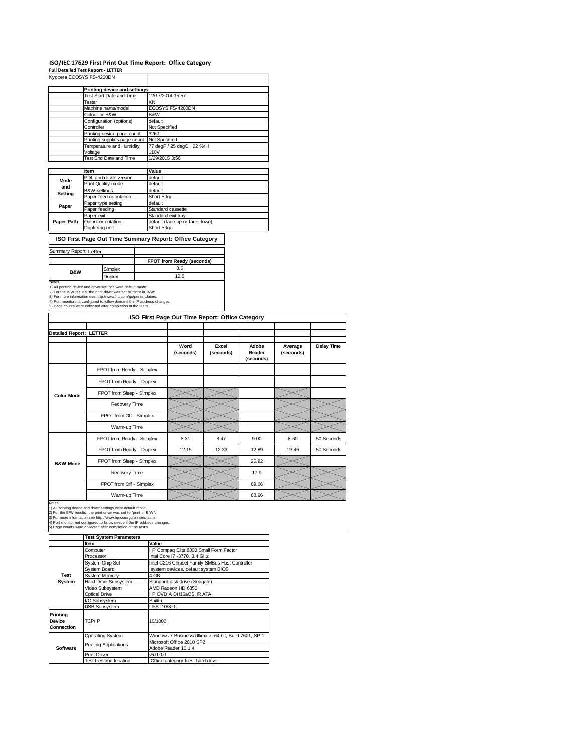#### **ISO/IEC 17629 First Print Out Time Report: Office Category**

**Full Detailed Test Report ‐ LETTER** Kyocera ECOSYS FS-4200DN

|            | <b>NYULEID ELLUS IS FS-42UUDIV</b> |                                |  |  |  |  |
|------------|------------------------------------|--------------------------------|--|--|--|--|
|            |                                    |                                |  |  |  |  |
|            | Printing device and settings       |                                |  |  |  |  |
|            | Test Start Date and Time           | 12/17/2014 15:57               |  |  |  |  |
|            | Tester                             | KN                             |  |  |  |  |
|            | Machine name/model                 | ECOSYS FS-4200DN               |  |  |  |  |
|            | Colour or B&W                      | B&W                            |  |  |  |  |
|            | Configuration (options)            | default                        |  |  |  |  |
|            | Controller                         | Not Specified                  |  |  |  |  |
|            | Printing device page count         | 3260                           |  |  |  |  |
|            | Printing supplies page count       | Not Specified                  |  |  |  |  |
|            | Temperature and Humidity           | 77 degF / 25 degC, 22 %rH      |  |  |  |  |
|            | Voltage                            | 110V                           |  |  |  |  |
|            | Test End Date and Time             | 1/29/2015 3:56                 |  |  |  |  |
|            |                                    |                                |  |  |  |  |
|            | Item                               | Value                          |  |  |  |  |
| Mode       | PDL and driver version             | default                        |  |  |  |  |
| and        | Print Quality mode                 | default                        |  |  |  |  |
|            | B&W settings                       | default                        |  |  |  |  |
| Setting    | Paper feed orientation             | Short Edge                     |  |  |  |  |
| Paper      | Paper type setting                 | default                        |  |  |  |  |
|            | Paper feeding                      | Standard cassette              |  |  |  |  |
|            | Paper exit                         | Standard exit tray             |  |  |  |  |
| Paper Path | Output orientation                 | default (face up or face down) |  |  |  |  |
|            | Duplexing unit                     | Short Edge                     |  |  |  |  |
|            |                                    |                                |  |  |  |  |

# **ISO First Page Out Time Summary Report: Office Category**

| Summary Report: Letter |         |                           |
|------------------------|---------|---------------------------|
|                        |         | FPOT from Ready (seconds) |
| <b>B&amp;W</b>         | Simplex | 8.6                       |
|                        | Duplex  | 12.5                      |

Notes<br>1) All printing device and driver settings were default mode.<br>2) For the B/W results, the print driver was set to "print in B/W".<br>3) For more information see http://www.hp.com/go/printerclaims.<br>4) Port monitor not co

|                                |                           | ISO First Page Out Time Report: Office Category |                    |                              |                      |                   |
|--------------------------------|---------------------------|-------------------------------------------------|--------------------|------------------------------|----------------------|-------------------|
| <b>Detailed Report: LETTER</b> |                           |                                                 |                    |                              |                      |                   |
|                                |                           | Word<br>(seconds)                               | Excel<br>(seconds) | Adobe<br>Reader<br>(seconds) | Average<br>(seconds) | <b>Delay Time</b> |
|                                | FPOT from Ready - Simplex |                                                 |                    |                              |                      |                   |
|                                | FPOT from Ready - Duplex  |                                                 |                    |                              |                      |                   |
| <b>Color Mode</b>              | FPOT from Sleep - Simplex |                                                 |                    |                              |                      |                   |
|                                | Recovery Time             |                                                 |                    |                              |                      |                   |
|                                | FPOT from Off - Simplex   |                                                 |                    |                              |                      |                   |
|                                | Warm-up Time              |                                                 |                    |                              |                      |                   |
|                                | FPOT from Ready - Simplex | 8.31                                            | 8.47               | 9.00                         | 8.60                 | 50 Seconds        |
|                                | FPOT from Ready - Duplex  | 12.15                                           | 12.33              | 12.89                        | 12.46                | 50 Seconds        |
| <b>B&amp;W Mode</b>            | FPOT from Sleep - Simplex |                                                 |                    | 26.92                        |                      |                   |
|                                | Recovery Time             |                                                 |                    | 17.9                         |                      |                   |
|                                | FPOT from Off - Simplex   |                                                 |                    | 69.66                        |                      |                   |
|                                | Warm-up Time              |                                                 |                    | 60.66                        |                      |                   |

Notes<br>1) All printing device and driver settings were default mode.<br>2) For the B/W results, the print driver was set to "print in B/W".<br>3) For more information see http://www.hp.com/go/printerclaims.<br>4) Port monitor not co

|                                         | <b>Test System Parameters</b> |                                                       |  |  |  |  |
|-----------------------------------------|-------------------------------|-------------------------------------------------------|--|--|--|--|
|                                         | <b>Item</b>                   | Value                                                 |  |  |  |  |
|                                         | Computer                      | HP Compaq Elite 8300 Small Form Factor                |  |  |  |  |
|                                         | Processor                     | Intel Core i7 -3770, 3.4 GHz                          |  |  |  |  |
|                                         | System Chip Set               | Intel C216 Chipset Family SMBus Host Controller       |  |  |  |  |
|                                         | System Board                  | system devices, default system BIOS                   |  |  |  |  |
| <b>Test</b>                             | System Memory                 | 4 GB                                                  |  |  |  |  |
| System                                  | Hard Drive Subsystem          | Standard disk drive (Seagate)                         |  |  |  |  |
|                                         | Video Subsystem               | AMD Radeon HD 6350                                    |  |  |  |  |
|                                         | Optical Drive                 | HP DVD A DH16aCSHR ATA                                |  |  |  |  |
|                                         | I/O Subsystem                 | Builtin                                               |  |  |  |  |
|                                         | <b>USB Subsystem</b>          | USB 2.0/3.0                                           |  |  |  |  |
| Printing<br>Device<br><b>Connection</b> | TCP/IP                        | 10/1000                                               |  |  |  |  |
|                                         | <b>Operating System</b>       | Windows 7 Business/Ultimate, 64 bit, Build 7601, SP 1 |  |  |  |  |
|                                         | <b>Printing Applications</b>  | Microsoft Office 2010 SP2                             |  |  |  |  |
| Software                                |                               | Adobe Reader 10.1.4                                   |  |  |  |  |
|                                         | <b>Print Driver</b>           | v5.0.0.0                                              |  |  |  |  |
|                                         | Test files and location       | Office category files, hard drive                     |  |  |  |  |